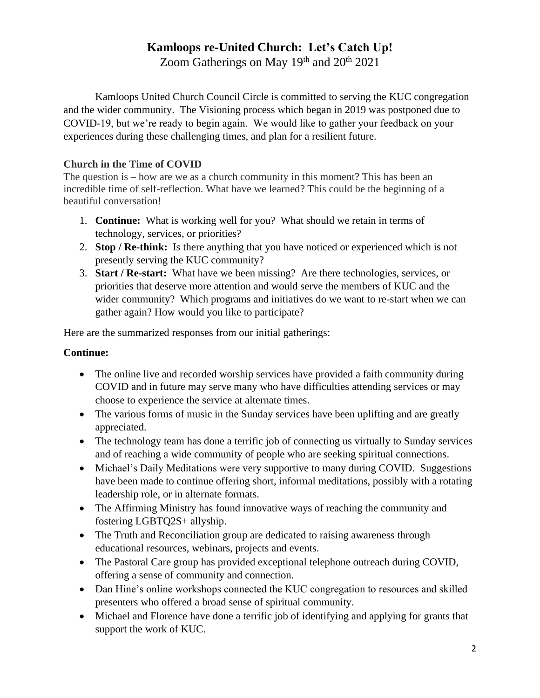# **Kamloops re-United Church: Let's Catch Up!**

Zoom Gatherings on May 19th and 20th 2021

Kamloops United Church Council Circle is committed to serving the KUC congregation and the wider community. The Visioning process which began in 2019 was postponed due to COVID-19, but we're ready to begin again. We would like to gather your feedback on your experiences during these challenging times, and plan for a resilient future.

### **Church in the Time of COVID**

The question is – how are we as a church community in this moment? This has been an incredible time of self-reflection. What have we learned? This could be the beginning of a beautiful conversation!

- 1. **Continue:** What is working well for you? What should we retain in terms of technology, services, or priorities?
- 2. **Stop / Re-think:** Is there anything that you have noticed or experienced which is not presently serving the KUC community?
- 3. **Start / Re-start:** What have we been missing? Are there technologies, services, or priorities that deserve more attention and would serve the members of KUC and the wider community? Which programs and initiatives do we want to re-start when we can gather again? How would you like to participate?

Here are the summarized responses from our initial gatherings:

#### **Continue:**

- The online live and recorded worship services have provided a faith community during COVID and in future may serve many who have difficulties attending services or may choose to experience the service at alternate times.
- The various forms of music in the Sunday services have been uplifting and are greatly appreciated.
- The technology team has done a terrific job of connecting us virtually to Sunday services and of reaching a wide community of people who are seeking spiritual connections.
- Michael's Daily Meditations were very supportive to many during COVID. Suggestions have been made to continue offering short, informal meditations, possibly with a rotating leadership role, or in alternate formats.
- The Affirming Ministry has found innovative ways of reaching the community and fostering LGBTQ2S+ allyship.
- The Truth and Reconciliation group are dedicated to raising awareness through educational resources, webinars, projects and events.
- The Pastoral Care group has provided exceptional telephone outreach during COVID, offering a sense of community and connection.
- Dan Hine's online workshops connected the KUC congregation to resources and skilled presenters who offered a broad sense of spiritual community.
- Michael and Florence have done a terrific job of identifying and applying for grants that support the work of KUC.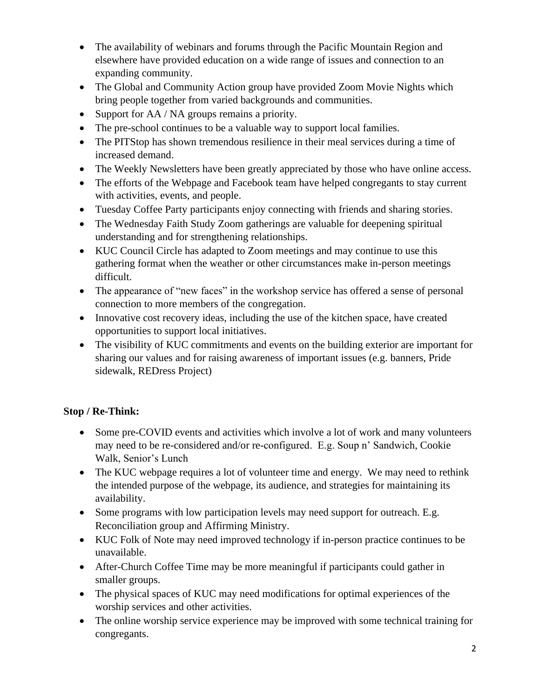- The availability of webinars and forums through the Pacific Mountain Region and elsewhere have provided education on a wide range of issues and connection to an expanding community.
- The Global and Community Action group have provided Zoom Movie Nights which bring people together from varied backgrounds and communities.
- Support for AA / NA groups remains a priority.
- The pre-school continues to be a valuable way to support local families.
- The PITStop has shown tremendous resilience in their meal services during a time of increased demand.
- The Weekly Newsletters have been greatly appreciated by those who have online access.
- The efforts of the Webpage and Facebook team have helped congregants to stay current with activities, events, and people.
- Tuesday Coffee Party participants enjoy connecting with friends and sharing stories.
- The Wednesday Faith Study Zoom gatherings are valuable for deepening spiritual understanding and for strengthening relationships.
- KUC Council Circle has adapted to Zoom meetings and may continue to use this gathering format when the weather or other circumstances make in-person meetings difficult.
- The appearance of "new faces" in the workshop service has offered a sense of personal connection to more members of the congregation.
- Innovative cost recovery ideas, including the use of the kitchen space, have created opportunities to support local initiatives.
- The visibility of KUC commitments and events on the building exterior are important for sharing our values and for raising awareness of important issues (e.g. banners, Pride sidewalk, REDress Project)

## **Stop / Re-Think:**

- Some pre-COVID events and activities which involve a lot of work and many volunteers may need to be re-considered and/or re-configured. E.g. Soup n' Sandwich, Cookie Walk, Senior's Lunch
- The KUC webpage requires a lot of volunteer time and energy. We may need to rethink the intended purpose of the webpage, its audience, and strategies for maintaining its availability.
- Some programs with low participation levels may need support for outreach. E.g. Reconciliation group and Affirming Ministry.
- KUC Folk of Note may need improved technology if in-person practice continues to be unavailable.
- After-Church Coffee Time may be more meaningful if participants could gather in smaller groups.
- The physical spaces of KUC may need modifications for optimal experiences of the worship services and other activities.
- The online worship service experience may be improved with some technical training for congregants.